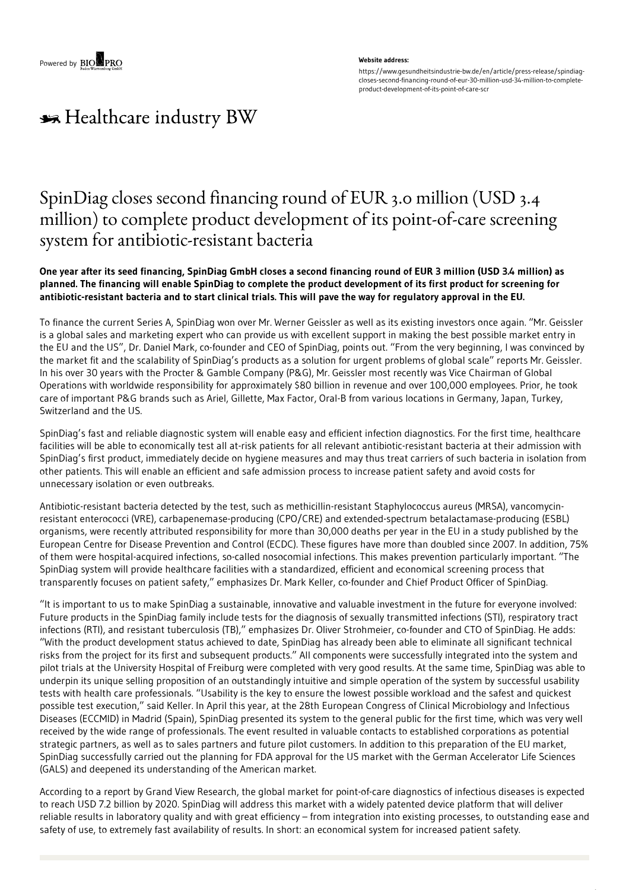#### **Website address:**

https://www.gesundheitsindustrie-bw.de/en/article/press-release/spindiagcloses-second-financing-round-of-eur-30-million-usd-34-million-to-completeproduct-development-of-its-point-of-care-scr

# \*\* Healthcare industry BW

## SpinDiag closes second financing round of EUR 3.0 million (USD 3.4 million) to complete product development of its point-of-care screening system for antibiotic-resistant bacteria

## One year after its seed financing, SpinDiag GmbH closes a second financing round of EUR 3 million (USD 3.4 million) as planned. The financing will enable SpinDiag to complete the product development of its first product for screening for antibiotic-resistant bacteria and to start clinical trials. This will pave the way for regulatory approval in the EU.

To finance the current Series A, SpinDiag won over Mr. Werner Geissler as well as its existing investors once again. "Mr. Geissler is a global sales and marketing expert who can provide us with excellent support in making the best possible market entry in the EU and the US", Dr. Daniel Mark, co-founder and CEO of SpinDiag, points out. "From the very beginning, I was convinced by the market fit and the scalability of SpinDiag's products as a solution for urgent problems of global scale" reports Mr. Geissler. In his over 30 years with the Procter & Gamble Company (P&G), Mr. Geissler most recently was Vice Chairman of Global Operations with worldwide responsibility for approximately \$80 billion in revenue and over 100,000 employees. Prior, he took care of important P&G brands such as Ariel, Gillette, Max Factor, Oral-B from various locations in Germany, Japan, Turkey, Switzerland and the US.

SpinDiag's fast and reliable diagnostic system will enable easy and efficient infection diagnostics. For the first time, healthcare facilities will be able to economically test all at-risk patients for all relevant antibiotic-resistant bacteria at their admission with SpinDiag's first product, immediately decide on hygiene measures and may thus treat carriers of such bacteria in isolation from other patients. This will enable an efficient and safe admission process to increase patient safety and avoid costs for unnecessary isolation or even outbreaks.

Antibiotic-resistant bacteria detected by the test, such as methicillin-resistant Staphylococcus aureus (MRSA), vancomycinresistant enterococci (VRE), carbapenemase-producing (CPO/CRE) and extended-spectrum betalactamase-producing (ESBL) organisms, were recently attributed responsibility for more than 30,000 deaths per year in the EU in a study published by the European Centre for Disease Prevention and Control (ECDC). These figures have more than doubled since 2007. In addition, 75% of them were hospital-acquired infections, so-called nosocomial infections. This makes prevention particularly important. "The SpinDiag system will provide healthcare facilities with a standardized, efficient and economical screening process that transparently focuses on patient safety," emphasizes Dr. Mark Keller, co-founder and Chief Product Officer of SpinDiag.

"It is important to us to make SpinDiag a sustainable, innovative and valuable investment in the future for everyone involved: Future products in the SpinDiag family include tests for the diagnosis of sexually transmitted infections (STI), respiratory tract infections (RTI), and resistant tuberculosis (TB)," emphasizes Dr. Oliver Strohmeier, co-founder and CTO of SpinDiag. He adds: "With the product development status achieved to date, SpinDiag has already been able to eliminate all significant technical risks from the project for its first and subsequent products." All components were successfully integrated into the system and pilot trials at the University Hospital of Freiburg were completed with very good results. At the same time, SpinDiag was able to underpin its unique selling proposition of an outstandingly intuitive and simple operation of the system by successful usability tests with health care professionals. "Usability is the key to ensure the lowest possible workload and the safest and quickest possible test execution," said Keller. In April this year, at the 28th European Congress of Clinical Microbiology and Infectious Diseases (ECCMID) in Madrid (Spain), SpinDiag presented its system to the general public for the first time, which was very well received by the wide range of professionals. The event resulted in valuable contacts to established corporations as potential strategic partners, as well as to sales partners and future pilot customers. In addition to this preparation of the EU market, SpinDiag successfully carried out the planning for FDA approval for the US market with the German Accelerator Life Sciences (GALS) and deepened its understanding of the American market.

According to a report by Grand View Research, the global market for point-of-care diagnostics of infectious diseases is expected to reach USD 7.2 billion by 2020. SpinDiag will address this market with a widely patented device platform that will deliver reliable results in laboratory quality and with great efficiency – from integration into existing processes, to outstanding ease and safety of use, to extremely fast availability of results. In short: an economical system for increased patient safety.